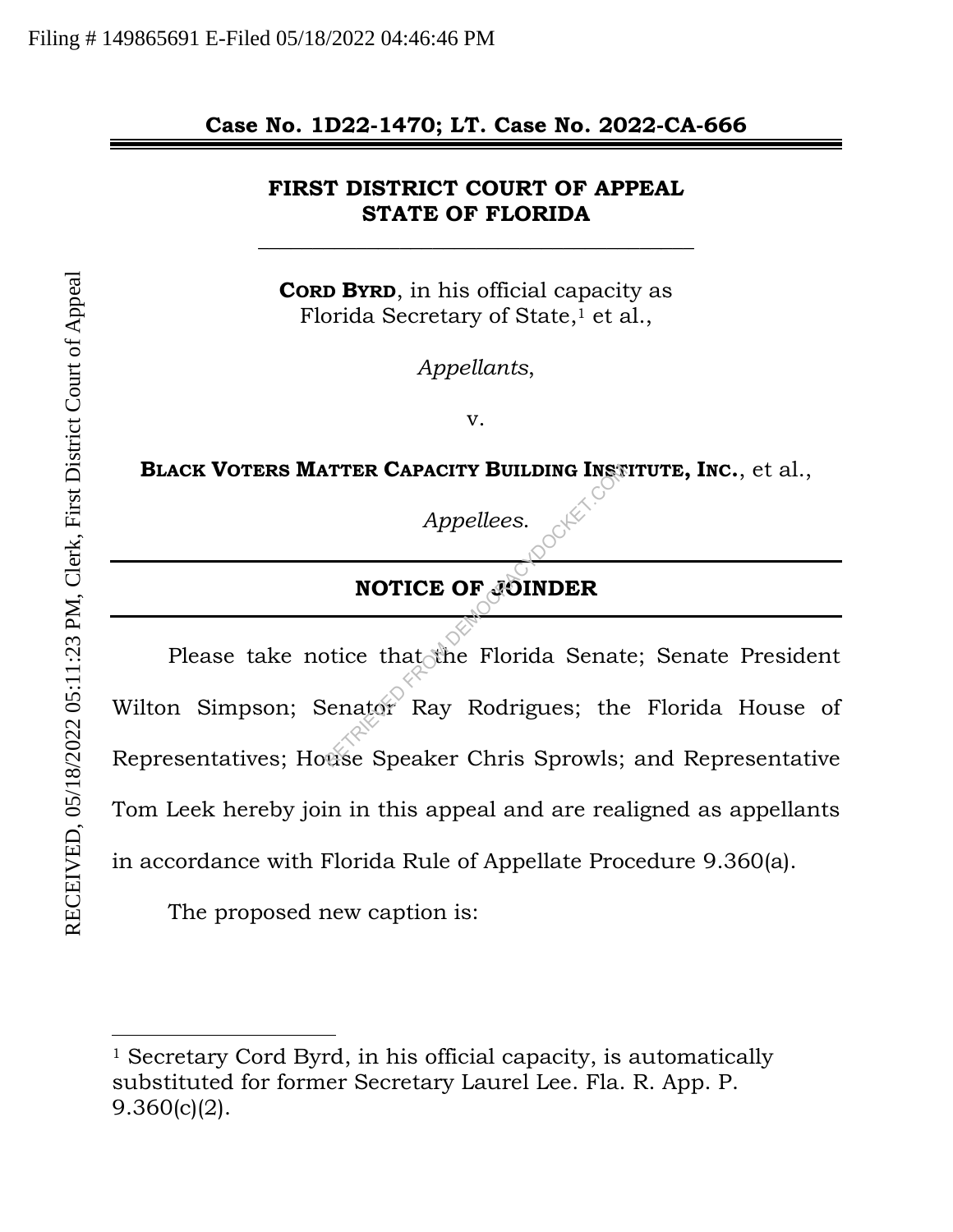## **Case No. 1D22-1470; LT. Case No. 2022-CA-666**

## **FIRST DISTRICT COURT OF APPEAL STATE OF FLORIDA**

\_\_\_\_\_\_\_\_\_\_\_\_\_\_\_\_\_\_\_\_\_\_\_\_\_\_\_\_\_\_\_\_\_\_\_\_\_\_\_\_

**CORD BYRD**, in his official capacity as Florida Secretary of State,<sup>1</sup> et al.,

*Appellants*,

v.

**BLACK VOTERS MATTER CAPACITY BUILDING INSTITUTE, INC.**, et al.,

*Appellees*.

# **NOTICE OF JOINDER**

Please take notice that the Florida Senate; Senate President Wilton Simpson; Senator Ray Rodrigues; the Florida House of Representatives; House Speaker Chris Sprowls; and Representative Tom Leek hereby join in this appeal and are realigned as appellants in accordance with Florida Rule of Appellate Procedure 9.360(a). Appellees.<br>
Appellees.<br>
NOTICE OF JOINDER<br>
Dice that the Florida Senat<br>
Senator Ray Rodrigues; the<br>
Comparent Senator Chris Sprowls;

The proposed new caption is:

l

<sup>&</sup>lt;sup>1</sup> Secretary Cord Byrd, in his official capacity, is automatically substituted for former Secretary Laurel Lee. Fla. R. App. P. 9.360(c)(2).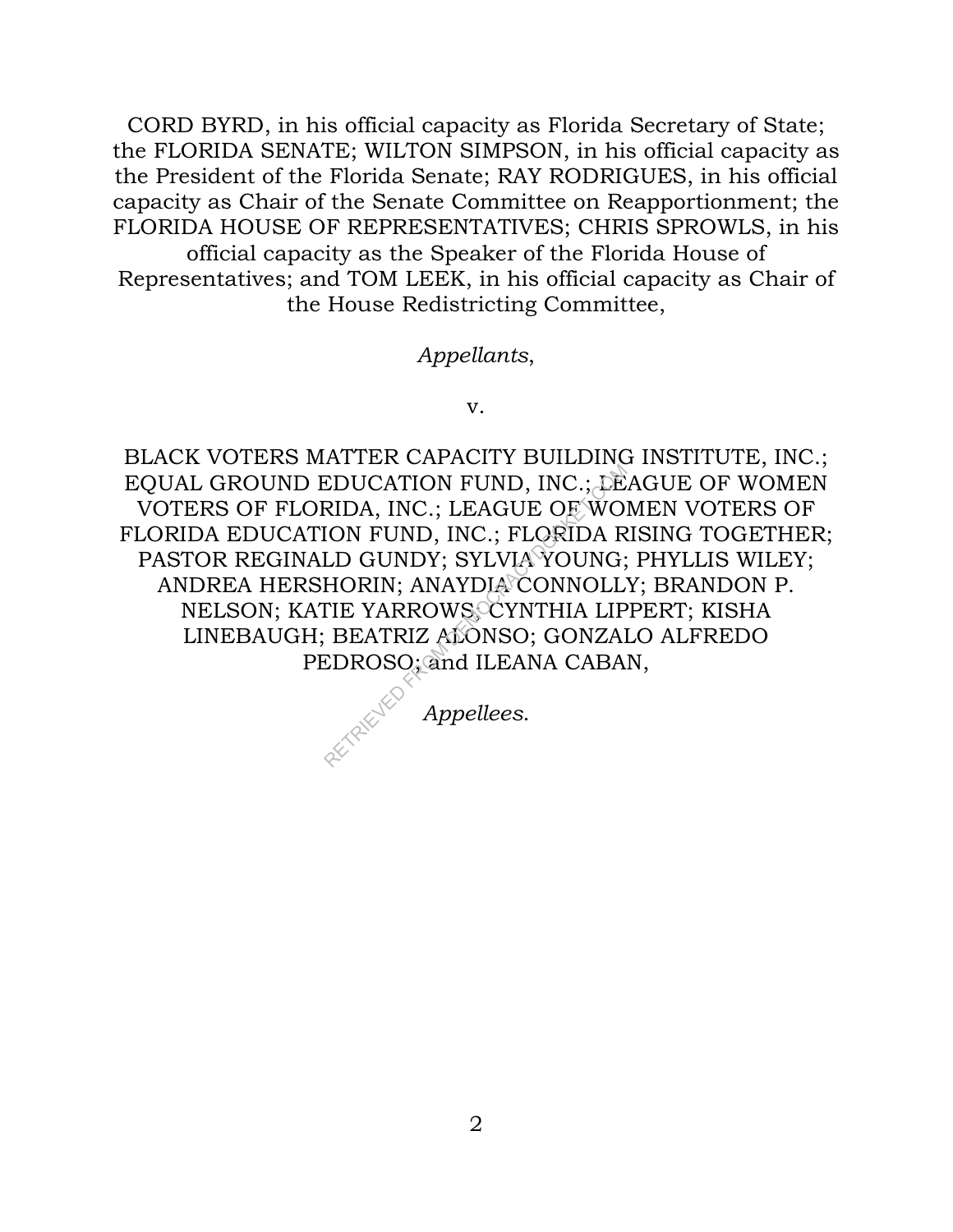CORD BYRD, in his official capacity as Florida Secretary of State; the FLORIDA SENATE; WILTON SIMPSON, in his official capacity as the President of the Florida Senate; RAY RODRIGUES, in his official capacity as Chair of the Senate Committee on Reapportionment; the FLORIDA HOUSE OF REPRESENTATIVES; CHRIS SPROWLS, in his official capacity as the Speaker of the Florida House of Representatives; and TOM LEEK, in his official capacity as Chair of

the House Redistricting Committee,

### *Appellants*,

v.

BLACK VOTERS MATTER CAPACITY BUILDING INSTITUTE, INC.; EQUAL GROUND EDUCATION FUND, INC.; LEAGUE OF WOMEN VOTERS OF FLORIDA, INC.; LEAGUE OF WOMEN VOTERS OF FLORIDA EDUCATION FUND, INC.; FLORIDA RISING TOGETHER; PASTOR REGINALD GUNDY; SYLVIA YOUNG; PHYLLIS WILEY; ANDREA HERSHORIN; ANAYDIA CONNOLLY; BRANDON P. NELSON; KATIE YARROWS; CYNTHIA LIPPERT; KISHA LINEBAUGH; BEATRIZ ALONSO; GONZALO ALFREDO PEDROSO; and ILEANA CABAN, EDUCATION FUND, INC.; LEAGUE<br>RIDA, INC.; LEAGUE OF WO.<br>ION FUND, INC.; FLORIDA R<br>LD GUNDY; SYLVIA YOUNG;<br>HORIN; ANAYDIA CONNOLL<br>TIE YARROWS, CYNTHIA LIP<br>BEATRIZ ALONSO; GONZAl<br>EDROSO; and ILEANA CABA

*Appellees*.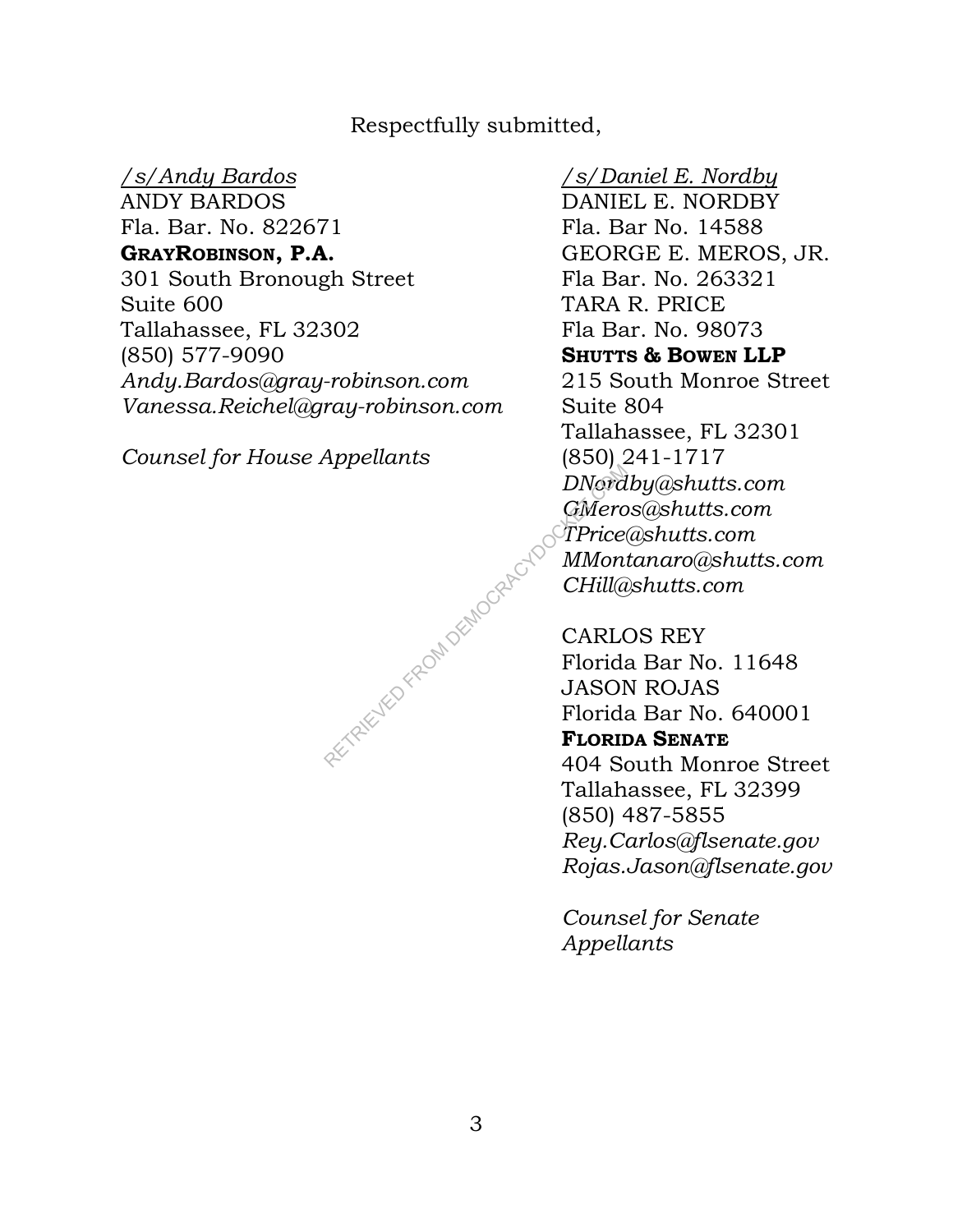## Respectfully submitted,

#### */s/Andy Bardos*

ANDY BARDOS Fla. Bar. No. 822671 **GRAYROBINSON, P.A.**  301 South Bronough Street Suite 600 Tallahassee, FL 32302 (850) 577-9090 *Andy.Bardos@gray-robinson.com Vanessa.Reichel@gray-robinson.com* 

*Counsel for House Appellants* 

## */s/Daniel E. Nordby*

DANIEL E. NORDBY Fla. Bar No. 14588 GEORGE E. MEROS, JR. Fla Bar. No. 263321 TARA R. PRICE Fla Bar. No. 98073 **SHUTTS & BOWEN LLP**  215 South Monroe Street Suite 804 Tallahassee, FL 32301 (850) 241-1717 *DNordby@shutts.com GMeros@shutts.com TPrice@shutts.com MMontanaro@shutts.com CHill@shutts.com* 

CARLOS REY Florida Bar No. 11648 JASON ROJAS Florida Bar No. 640001 **FLORIDA SENATE** 404 South Monroe Street Tallahassee, FL 32399 (850) 487-5855 *Rey.Carlos@flsenate.gov Rojas.Jason@flsenate.gov*

*Counsel for Senate Appellants* 

RETRIEVED FROM DEMOCRAL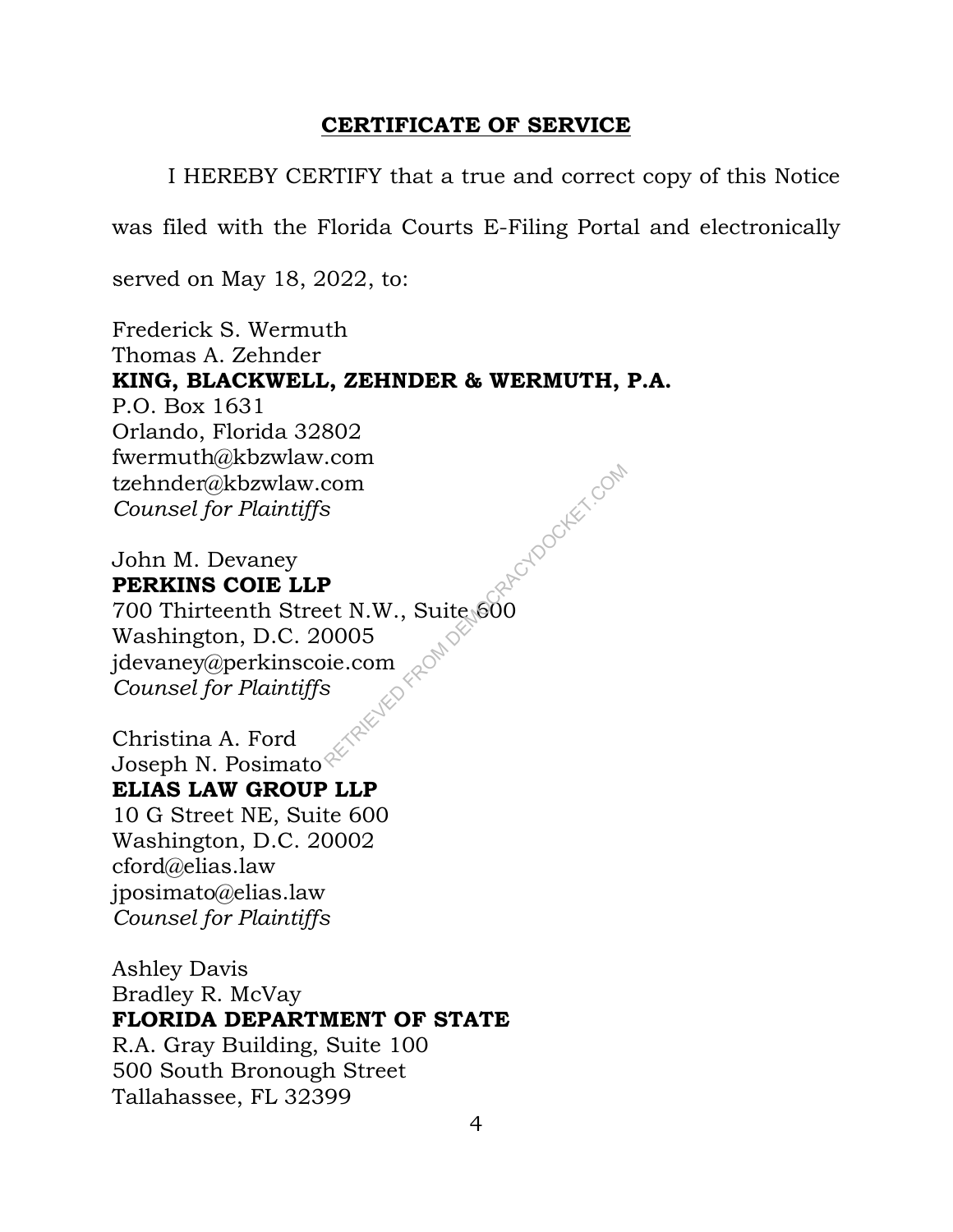## **CERTIFICATE OF SERVICE**

I HEREBY CERTIFY that a true and correct copy of this Notice

was filed with the Florida Courts E-Filing Portal and electronically

served on May 18, 2022, to:

Frederick S. Wermuth Thomas A. Zehnder **KING, BLACKWELL, ZEHNDER & WERMUTH, P.A.**  P.O. Box 1631 Orlando, Florida 32802 fwermuth@kbzwlaw.com tzehnder@kbzwlaw.com *Counsel for Plaintiffs*  LECHTOCKET.COM

John M. Devaney **PERKINS COIE LLP**  700 Thirteenth Street N.W., Suite 600

Washington, D.C. 20005 jdevaney@perkinscoie.com *Counsel for Plaintiffs* 

Christina A. Ford Joseph N. Posimato $\mathcal{P}$ **ELIAS LAW GROUP LLP**  10 G Street NE, Suite 600 Washington, D.C. 20002 cford@elias.law jposimato@elias.law *Counsel for Plaintiffs* 

Ashley Davis Bradley R. McVay **FLORIDA DEPARTMENT OF STATE**  R.A. Gray Building, Suite 100 500 South Bronough Street Tallahassee, FL 32399